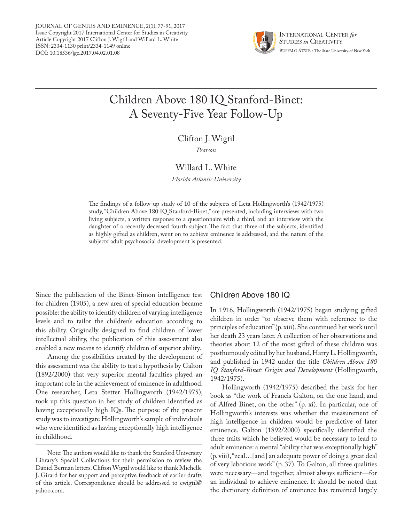JOURNAL OF GENIUS AND EMINENCE, 2(1), 77-91, 2017 Issue Copyright 2017 International Center for Studies in Creativity Article Copyright 2017 Clifton J. Wigtil and Willard L. White ISSN: 2334-1130 print/2334-1149 online DOI: 10.18536/jge.2017.04.02.01.08



# Children Above 180 IQ Stanford-Binet: A Seventy-Five Year Follow-Up

## Clifton J. Wigtil

*Pearson*

## Willard L. White

*Florida Atlantic University*

The findings of a follow-up study of 10 of the subjects of Leta Hollingworth's (1942/1975) study, "Children Above 180 IQ Stanford-Binet," are presented, including interviews with two living subjects, a written response to a questionnaire with a third, and an interview with the daughter of a recently deceased fourth subject. The fact that three of the subjects, identified as highly gifted as children, went on to achieve eminence is addressed, and the nature of the subjects' adult psychosocial development is presented.

Since the publication of the Binet-Simon intelligence test for children (1905), a new area of special education became possible: the ability to identify children of varying intelligence levels and to tailor the children's education according to this ability. Originally designed to find children of lower intellectual ability, the publication of this assessment also enabled a new means to identify children of superior ability.

Among the possibilities created by the development of this assessment was the ability to test a hypothesis by Galton (1892/2000) that very superior mental faculties played an important role in the achievement of eminence in adulthood. One researcher, Leta Stetter Hollingworth (1942/1975), took up this question in her study of children identified as having exceptionally high IQs. The purpose of the present study was to investigate Hollingworth's sample of individuals who were identified as having exceptionally high intelligence in childhood.

### Children Above 180 IQ

In 1916, Hollingworth (1942/1975) began studying gifted children in order "to observe them with reference to the principles of education" (p. xiii). She continued her work until her death 23 years later. A collection of her observations and theories about 12 of the most gifted of these children was posthumously edited by her husband, Harry L. Hollingworth, and published in 1942 under the title *Children Above 180 IQ Stanford-Binet: Origin and Development* (Hollingworth, 1942/1975).

Hollingworth (1942/1975) described the basis for her book as "the work of Francis Galton, on the one hand, and of Alfred Binet, on the other" (p. xi). In particular, one of Hollingworth's interests was whether the measurement of high intelligence in children would be predictive of later eminence. Galton (1892/2000) specifically identified the three traits which he believed would be necessary to lead to adult eminence: a mental "ability that was exceptionally high" (p. viii), "zeal…[and] an adequate power of doing a great deal of very laborious work" (p. 37). To Galton, all three qualities were necessary—and together, almost always sufficient—for an individual to achieve eminence. It should be noted that the dictionary definition of eminence has remained largely

Note: The authors would like to thank the Stanford University Library's Special Collections for their permission to review the Daniel Berman letters. Clifton Wigtil would like to thank Michelle J. Girard for her support and perceptive feedback of earlier drafts of this article. Correspondence should be addressed to cwigtil@ yahoo.com.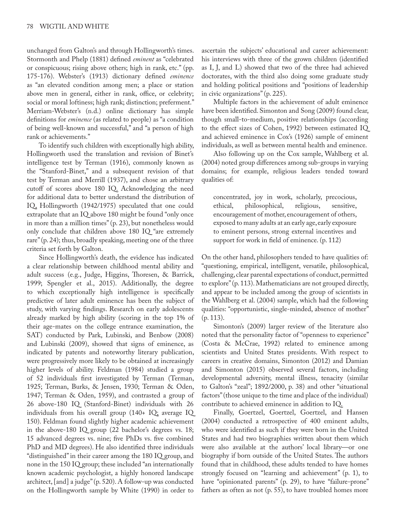unchanged from Galton's and through Hollingworth's times. Stormonth and Phelp (1881) defined *eminent* as "celebrated or conspicuous; rising above others; high in rank, etc." (pp. 175-176). Webster's (1913) dictionary defined *eminence* as "an elevated condition among men; a place or station above men in general, either in rank, office, or celebrity; social or moral loftiness; high rank; distinction; preferment." Merriam-Webster's (n.d.) online dictionary has simple definitions for *eminence* (as related to people) as "a condition of being well-known and successful," and "a person of high rank or achievements."

To identify such children with exceptionally high ability, Hollingworth used the translation and revision of Binet's intelligence test by Terman (1916), commonly known as the "Stanford-Binet," and a subsequent revision of that test by Terman and Merrill (1937), and chose an arbitrary cutoff of scores above 180 IQ. Acknowledging the need for additional data to better understand the distribution of IQ, Hollingworth (1942/1975) speculated that one could extrapolate that an IQ above 180 might be found "only once in more than a million times" (p. 23), but nonetheless would only conclude that children above 180 IQ "are extremely rare" (p. 24); thus, broadly speaking, meeting one of the three criteria set forth by Galton.

Since Hollingworth's death, the evidence has indicated a clear relationship between childhood mental ability and adult success (e.g., Judge, Higgins, Thoresen, & Barrick, 1999; Spengler et al., 2015). Additionally, the degree to which exceptionally high intelligence is specifically predictive of later adult eminence has been the subject of study, with varying findings. Research on early adolescents already marked by high ability (scoring in the top 1% of their age-mates on the college entrance examination, the SAT) conducted by Park, Lubinski, and Benbow (2008) and Lubinski (2009), showed that signs of eminence, as indicated by patents and noteworthy literary publication, were progressively more likely to be obtained at increasingly higher levels of ability. Feldman (1984) studied a group of 52 individuals first investigated by Terman (Terman, 1925; Terman, Burks, & Jensen, 1930; Terman & Oden, 1947; Terman & Oden, 1959), and contrasted a group of 26 above-180 IQ (Stanford-Binet) individuals with 26 individuals from his overall group (140+ IQ; average IQ 150). Feldman found slightly higher academic achievement in the above-180 IQ group (22 bachelor's degrees vs. 18; 15 advanced degrees vs. nine; five PhDs vs. five combined PhD and MD degrees). He also identified three individuals "distinguished" in their career among the 180 IQ group, and none in the 150 IQ group; these included "an internationally known academic psychologist, a highly honored landscape architect, [and] a judge" (p. 520). A follow-up was conducted on the Hollingworth sample by White (1990) in order to

ascertain the subjects' educational and career achievement: his interviews with three of the grown children (identified as I, J, and L) showed that two of the three had achieved doctorates, with the third also doing some graduate study and holding political positions and "positions of leadership in civic organizations" (p. 225).

Multiple factors in the achievement of adult eminence have been identified. Simonton and Song (2009) found clear, though small-to-medium, positive relationships (according to the effect sizes of Cohen, 1992) between estimated IQ and achieved eminence in Cox's (1926) sample of eminent individuals, as well as between mental health and eminence.

Also following up on the Cox sample, Wahlberg et al. (2004) noted group differences among sub-groups in varying domains; for example, religious leaders tended toward qualities of:

concentrated, joy in work, scholarly, precocious, ethical, philosophical, religious, sensitive, encouragement of mother, encouragement of others, exposed to many adults at an early age, early exposure to eminent persons, strong external incentives and support for work in field of eminence. (p. 112)

On the other hand, philosophers tended to have qualities of: "questioning, empirical, intelligent, versatile, philosophical, challenging, clear parental expectations of conduct, permitted to explore" (p. 113). Mathematicians are not grouped directly, and appear to be included among the group of scientists in the Wahlberg et al. (2004) sample, which had the following qualities: "opportunistic, single-minded, absence of mother"  $(p. 113)$ .

Simonton's (2009) larger review of the literature also noted that the personality factor of "openness to experience" (Costa & McCrae, 1992) related to eminence among scientists and United States presidents. With respect to careers in creative domains, Simonton (2012) and Damian and Simonton (2015) observed several factors, including developmental adversity, mental illness, tenacity (similar to Galton's "zeal"; 1892/2000, p. 38) and other "situational factors" (those unique to the time and place of the individual) contribute to achieved eminence in addition to IQ.

Finally, Goertzel, Goertzel, Goertzel, and Hansen (2004) conducted a retrospective of 400 eminent adults, who were identified as such if they were born in the United States and had two biographies written about them which were also available at the authors' local library—or one biography if born outside of the United States. The authors found that in childhood, these adults tended to have homes strongly focused on "learning and achievement" (p. 1), to have "opinionated parents" (p. 29), to have "failure-prone" fathers as often as not (p. 55), to have troubled homes more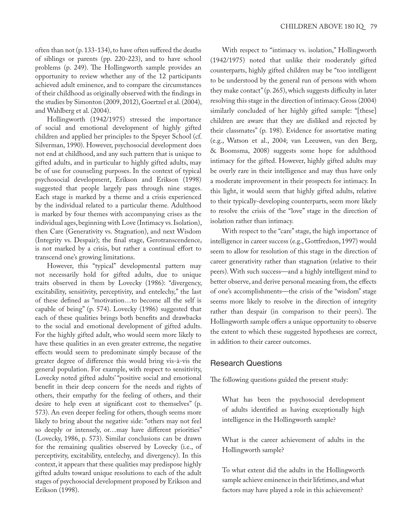often than not (p. 133-134), to have often suffered the deaths of siblings or parents (pp. 220-223), and to have school problems (p. 249). The Hollingworth sample provides an opportunity to review whether any of the 12 participants achieved adult eminence, and to compare the circumstances of their childhood as originally observed with the findings in the studies by Simonton (2009, 2012), Goertzel et al. (2004), and Wahlberg et al. (2004).

Hollingworth (1942/1975) stressed the importance of social and emotional development of highly gifted children and applied her principles to the Speyer School (cf. Silverman, 1990). However, psychosocial development does not end at childhood, and any such pattern that is unique to gifted adults, and in particular to highly gifted adults, may be of use for counseling purposes. In the context of typical psychosocial development, Erikson and Erikson (1998) suggested that people largely pass through nine stages. Each stage is marked by a theme and a crisis experienced by the individual related to a particular theme. Adulthood is marked by four themes with accompanying crises as the individual ages, beginning with Love (Intimacy vs. Isolation), then Care (Generativity vs. Stagnation), and next Wisdom (Integrity vs. Despair); the final stage, Gerotranscendence, is not marked by a crisis, but rather a continual effort to transcend one's growing limitations.

However, this "typical" developmental pattern may not necessarily hold for gifted adults, due to unique traits observed in them by Lovecky (1986): "divergency, excitability, sensitivity, perceptivity, and entelechy," the last of these defined as "motivation…to become all the self is capable of being" (p. 574). Lovecky (1986) suggested that each of these qualities brings both benefits and drawbacks to the social and emotional development of gifted adults. For the highly gifted adult, who would seem more likely to have these qualities in an even greater extreme, the negative effects would seem to predominate simply because of the greater degree of difference this would bring vis-à-vis the general population. For example, with respect to sensitivity, Lovecky noted gifted adults' "positive social and emotional benefit in their deep concern for the needs and rights of others, their empathy for the feeling of others, and their desire to help even at significant cost to themselves" (p. 573). An even deeper feeling for others, though seems more likely to bring about the negative side: "others may not feel so deeply or intensely, or…may have different priorities" (Lovecky, 1986, p. 573). Similar conclusions can be drawn for the remaining qualities observed by Lovecky (i.e., of perceptivity, excitability, entelechy, and divergency). In this context, it appears that these qualities may predispose highly gifted adults toward unique resolutions to each of the adult stages of psychosocial development proposed by Erikson and Erikson (1998).

With respect to "intimacy vs. isolation," Hollingworth (1942/1975) noted that unlike their moderately gifted counterparts, highly gifted children may be "too intelligent to be understood by the general run of persons with whom they make contact" (p. 265), which suggests difficulty in later resolving this stage in the direction of intimacy. Gross (2004) similarly concluded of her highly gifted sample: "[these] children are aware that they are disliked and rejected by their classmates" (p. 198). Evidence for assortative mating (e.g., Watson et al., 2004; van Leeuwen, van den Berg, & Boomsma, 2008) suggests some hope for adulthood intimacy for the gifted. However, highly gifted adults may be overly rare in their intelligence and may thus have only a moderate improvement in their prospects for intimacy. In this light, it would seem that highly gifted adults, relative to their typically-developing counterparts, seem more likely to resolve the crisis of the "love" stage in the direction of isolation rather than intimacy.

With respect to the "care" stage, the high importance of intelligence in career success (e.g., Gottfredson, 1997) would seem to allow for resolution of this stage in the direction of career generativity rather than stagnation (relative to their peers). With such success—and a highly intelligent mind to better observe, and derive personal meaning from, the effects of one's accomplishments—the crisis of the "wisdom" stage seems more likely to resolve in the direction of integrity rather than despair (in comparison to their peers). The Hollingworth sample offers a unique opportunity to observe the extent to which these suggested hypotheses are correct, in addition to their career outcomes.

## Research Questions

The following questions guided the present study:

What has been the psychosocial development of adults identified as having exceptionally high intelligence in the Hollingworth sample?

What is the career achievement of adults in the Hollingworth sample?

To what extent did the adults in the Hollingworth sample achieve eminence in their lifetimes, and what factors may have played a role in this achievement?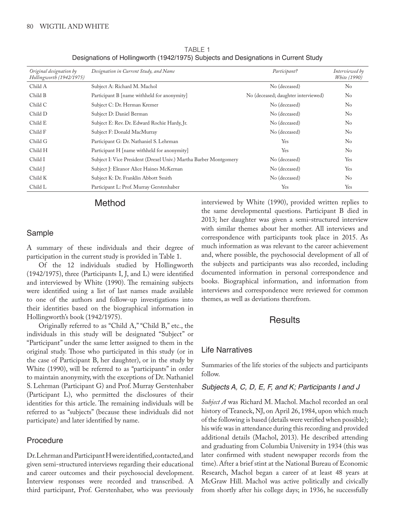| Original designation by<br>Hollingworth (1942/1975) | Designation in Current Study, and Name                            | Participant?                        | Interviewed by<br><i>White</i> (1990) |
|-----------------------------------------------------|-------------------------------------------------------------------|-------------------------------------|---------------------------------------|
| Child A                                             | Subject A: Richard M. Machol                                      | No (deceased)                       | $\rm No$                              |
| Child B                                             | Participant B [name withheld for anonymity]                       | No (deceased; daughter interviewed) | N <sub>o</sub>                        |
| Child C                                             | Subject C: Dr. Herman Kremer                                      | No (deceased)                       | No                                    |
| Child D                                             | Subject D: Daniel Berman                                          | No (deceased)                       | N <sub>o</sub>                        |
| Child E                                             | Subject E: Rev. Dr. Edward Rochie Hardy, Jr.                      | No (deceased)                       | N <sub>o</sub>                        |
| Child F                                             | Subject F: Donald MacMurray                                       | No (deceased)                       | N <sub>o</sub>                        |
| Child G                                             | Participant G: Dr. Nathaniel S. Lehrman                           | Yes                                 | N <sub>o</sub>                        |
| Child H                                             | Participant H [name withheld for anonymity]                       | Yes                                 | N <sub>o</sub>                        |
| Child I                                             | Subject I: Vice President (Drexel Univ.) Martha Barber Montgomery | No (deceased)                       | Yes                                   |
| Child J                                             | Subject J: Eleanor Alice Haines McKernan                          | No (deceased)                       | Yes                                   |
| Child K                                             | Subject K: Dr. Franklin Abbott Smith                              | No (deceased)                       | N <sub>0</sub>                        |
| Child L                                             | Participant L: Prof. Murray Gerstenhaber                          | Yes                                 | Yes                                   |

TABLE 1 Designations of Hollingworth (1942/1975) Subjects and Designations in Current Study

# Method

# Sample

A summary of these individuals and their degree of participation in the current study is provided in Table 1.

Of the 12 individuals studied by Hollingworth (1942/1975), three (Participants I, J, and L) were identified and interviewed by White (1990). The remaining subjects were identified using a list of last names made available to one of the authors and follow-up investigations into their identities based on the biographical information in Hollingworth's book (1942/1975).

Originally referred to as "Child A," "Child B," etc., the individuals in this study will be designated "Subject" or "Participant" under the same letter assigned to them in the original study. Those who participated in this study (or in the case of Participant B, her daughter), or in the study by White (1990), will be referred to as "participants" in order to maintain anonymity, with the exceptions of Dr. Nathaniel S. Lehrman (Participant G) and Prof. Murray Gerstenhaber (Participant L), who permitted the disclosures of their identities for this article. The remaining individuals will be referred to as "subjects" (because these individuals did not participate) and later identified by name.

# Procedure

Dr. Lehrman and Participant H were identified, contacted, and given semi-structured interviews regarding their educational and career outcomes and their psychosocial development. Interview responses were recorded and transcribed. A third participant, Prof. Gerstenhaber, who was previously interviewed by White (1990), provided written replies to the same developmental questions. Participant B died in 2013; her daughter was given a semi-structured interview with similar themes about her mother. All interviews and correspondence with participants took place in 2015. As much information as was relevant to the career achievement and, where possible, the psychosocial development of all of the subjects and participants was also recorded, including documented information in personal correspondence and books. Biographical information, and information from interviews and correspondence were reviewed for common themes, as well as deviations therefrom.

# Results

## Life Narratives

Summaries of the life stories of the subjects and participants follow.

## *Subjects A, C, D, E, F, and K; Participants I and J*

*Subject A* was Richard M. Machol. Machol recorded an oral history of Teaneck, NJ, on April 26, 1984, upon which much of the following is based (details were verified when possible); his wife was in attendance during this recording and provided additional details (Machol, 2013). He described attending and graduating from Columbia University in 1934 (this was later confirmed with student newspaper records from the time). After a brief stint at the National Bureau of Economic Research, Machol began a career of at least 48 years at McGraw Hill. Machol was active politically and civically from shortly after his college days; in 1936, he successfully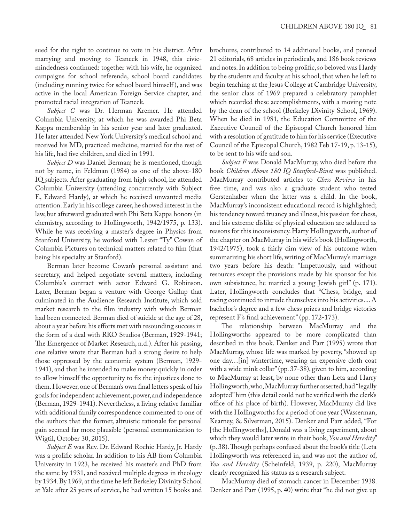sued for the right to continue to vote in his district. After marrying and moving to Teaneck in 1948, this civicmindedness continued: together with his wife, he organized campaigns for school referenda, school board candidates (including running twice for school board himself ), and was active in the local American Foreign Service chapter, and promoted racial integration of Teaneck.

*Subject C* was Dr. Herman Kremer. He attended Columbia University, at which he was awarded Phi Beta Kappa membership in his senior year and later graduated. He later attended New York University's medical school and received his MD, practiced medicine, married for the rest of his life, had five children, and died in 1991.

*Subject D* was Daniel Berman; he is mentioned, though not by name, in Feldman (1984) as one of the above-180 IQ subjects. After graduating from high school, he attended Columbia University (attending concurrently with Subject E, Edward Hardy), at which he received unwanted media attention. Early in his college career, he showed interest in the law, but afterward graduated with Phi Beta Kappa honors (in chemistry, according to Hollingworth, 1942/1975, p. 133). While he was receiving a master's degree in Physics from Stanford University, he worked with Lester "Ty" Cowan of Columbia Pictures on technical matters related to film (that being his specialty at Stanford).

Berman later become Cowan's personal assistant and secretary, and helped negotiate several matters, including Columbia's contract with actor Edward G. Robinson. Later, Berman began a venture with George Gallup that culminated in the Audience Research Institute, which sold market research to the film industry with which Berman had been connected. Berman died of suicide at the age of 28, about a year before his efforts met with resounding success in the form of a deal with RKO Studios (Berman, 1929-1941; The Emergence of Market Research, n.d.). After his passing, one relative wrote that Berman had a strong desire to help those oppressed by the economic system (Berman, 1929- 1941), and that he intended to make money quickly in order to allow himself the opportunity to fix the injustices done to them. However, one of Berman's own final letters speak of his goals for independent achievement, power, and independence (Berman, 1929-1941). Nevertheless, a living relative familiar with additional family correspondence commented to one of the authors that the former, altruistic rationale for personal gain seemed far more plausible (personal communication to Wigtil, October 30, 2015).

*Subject E* was Rev. Dr. Edward Rochie Hardy, Jr. Hardy was a prolific scholar. In addition to his AB from Columbia University in 1923, he received his master's and PhD from the same by 1931, and received multiple degrees in theology by 1934. By 1969, at the time he left Berkeley Divinity School at Yale after 25 years of service, he had written 15 books and

brochures, contributed to 14 additional books, and penned 21 editorials, 68 articles in periodicals, and 186 book reviews and notes. In addition to being prolific, so beloved was Hardy by the students and faculty at his school, that when he left to begin teaching at the Jesus College at Cambridge University, the senior class of 1969 prepared a celebratory pamphlet which recorded these accomplishments, with a moving note by the dean of the school (Berkeley Divinity School, 1969). When he died in 1981, the Education Committee of the Executive Council of the Episcopal Church honored him with a resolution of gratitude to him for his service (Executive Council of the Episcopal Church, 1982 Feb 17-19, p. 13-15), to be sent to his wife and son.

*Subject F* was Donald MacMurray, who died before the book *Children Above 180 IQ Stanford-Binet* was published. MacMurray contributed articles to *Chess Review* in his free time, and was also a graduate student who tested Gerstenhaber when the latter was a child. In the book, MacMurray's inconsistent educational record is highlighted; his tendency toward truancy and illness, his passion for chess, and his extreme dislike of physical education are adduced as reasons for this inconsistency. Harry Hollingworth, author of the chapter on MacMurray in his wife's book (Hollingworth, 1942/1975), took a fairly dim view of his outcome when summarizing his short life, writing of MacMurray's marriage two years before his death: "Impetuously, and without resources except the provisions made by his sponsor for his own subsistence, he married a young Jewish girl" (p. 171). Later, Hollingworth concludes that "Chess, bridge, and racing continued to intrude themselves into his activities.... A bachelor's degree and a few chess prizes and bridge victories represent F's final achievement" (pp. 172-173).

The relationship between MacMurray and the Hollingworths appeared to be more complicated than described in this book. Denker and Parr (1995) wrote that MacMurray, whose life was marked by poverty, "showed up one day…[in] wintertime, wearing an expensive cloth coat with a wide mink collar" (pp. 37-38), given to him, according to MacMurray at least, by none other than Leta and Harry Hollingworth, who, MacMurray further asserted, had "legally adopted" him (this detail could not be verified with the clerk's office of his place of birth). However, MacMurray did live with the Hollingworths for a period of one year (Wasserman, Kearney, & Silverman, 2015). Denker and Parr added, "For [the Hollingworths], Donald was a living experiment, about which they would later write in their book, *You and Heredity*" (p. 38). Though perhaps confused about the book's title (Leta Hollingworth was referenced in, and was not the author of, *You and Heredity* (Scheinfeld, 1939, p. 220), MacMurray clearly recognized his status as a research subject.

MacMurray died of stomach cancer in December 1938. Denker and Parr (1995, p. 40) write that "he did not give up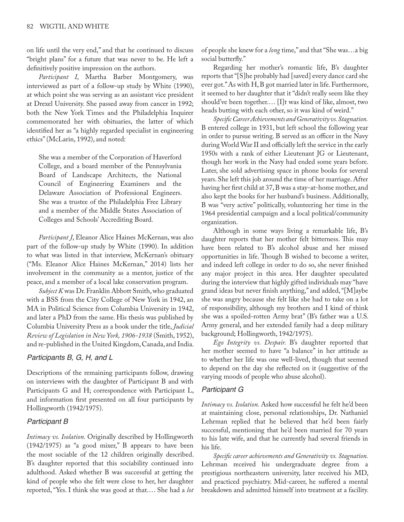on life until the very end," and that he continued to discuss "bright plans" for a future that was never to be. He left a definitively positive impression on the authors.

*Participant I*, Martha Barber Montgomery, was interviewed as part of a follow-up study by White (1990), at which point she was serving as an assistant vice president at Drexel University. She passed away from cancer in 1992; both the New York Times and the Philadelphia Inquirer commemorated her with obituaries, the latter of which identified her as "a highly regarded specialist in engineering ethics" (McLarin, 1992), and noted:

She was a member of the Corporation of Haverford College, and a board member of the Pennsylvania Board of Landscape Architects, the National Council of Engineering Examiners and the Delaware Association of Professional Engineers. She was a trustee of the Philadelphia Free Library and a member of the Middle States Association of Colleges and Schools' Accrediting Board.

*Participant J*, Eleanor Alice Haines McKernan, was also part of the follow-up study by White (1990). In addition to what was listed in that interview, McKernan's obituary ("Ms. Eleanor Alice Haines McKernan," 2014) lists her involvement in the community as a mentor, justice of the peace, and a member of a local lake conservation program.

*Subject K* was Dr. Franklin Abbott Smith, who graduated with a BSS from the City College of New York in 1942, an MA in Political Science from Columbia University in 1942, and later a PhD from the same. His thesis was published by Columbia University Press as a book under the title, *Judicial Review of Legislation in New York, 1906-1938* (Smith, 1952), and re-published in the United Kingdom, Canada, and India.

## *Participants B, G, H, and L*

Descriptions of the remaining participants follow, drawing on interviews with the daughter of Participant B and with Participants G and H; correspondence with Participant L, and information first presented on all four participants by Hollingworth (1942/1975).

#### *Participant B*

*Intimacy vs. Isolation.* Originally described by Hollingworth (1942/1975) as "a good mixer," B appears to have been the most sociable of the 12 children originally described. B's daughter reported that this sociability continued into adulthood. Asked whether B was successful at getting the kind of people who she felt were close to her, her daughter reported, "Yes. I think she was good at that.… She had a *lot* of people she knew for a *long* time," and that "She was…a big social butterfly."

Regarding her mother's romantic life, B's daughter reports that "[S]he probably had [saved] every dance card she ever got." As with H, B got married later in life. Furthermore, it seemed to her daughter that it "didn't really seem like they should've been together.… [I]t was kind of like, almost, two heads butting with each other, so it was kind of weird."

*SpecificCareer Achievements and Generativity vs. Stagnation.* B entered college in 1931, but left school the following year in order to pursue writing. B served as an officer in the Navy during World War II and officially left the service in the early 1950s with a rank of either Lieutenant JG or Lieutenant, though her work in the Navy had ended some years before. Later, she sold advertising space in phone books for several years. She left this job around the time of her marriage. After having her first child at 37, B was a stay-at-home mother, and also kept the books for her husband's business. Additionally, B was "very active" politically, volunteering her time in the 1964 presidential campaign and a local political/community organization.

Although in some ways living a remarkable life, B's daughter reports that her mother felt bitterness. This may have been related to B's alcohol abuse and her missed opportunities in life. Though B wished to become a writer, and indeed left college in order to do so, she never finished any major project in this area. Her daughter speculated during the interview that highly gifted individuals may "have grand ideas but never finish anything," and added, "[M]aybe she was angry because she felt like she had to take on a lot of responsibility, although my brothers and I kind of think she was a spoiled-rotten Army brat" (B's father was a U.S. Army general, and her extended family had a deep military background; Hollingworth, 1942/1975).

*Ego Integrity vs. Despair.* B's daughter reported that her mother seemed to have "a balance" in her attitude as to whether her life was one well-lived, though that seemed to depend on the day she reflected on it (suggestive of the varying moods of people who abuse alcohol).

#### *Participant G*

*Intimacy vs. Isolation.* Asked how successful he felt he'd been at maintaining close, personal relationships, Dr. Nathaniel Lehrman replied that he believed that he'd been fairly successful, mentioning that he'd been married for 70 years to his late wife, and that he currently had several friends in his life.

*Specific career achievements and Generativity vs. Stagnation.*  Lehrman received his undergraduate degree from a prestigious northeastern university, later received his MD, and practiced psychiatry. Mid-career, he suffered a mental breakdown and admitted himself into treatment at a facility.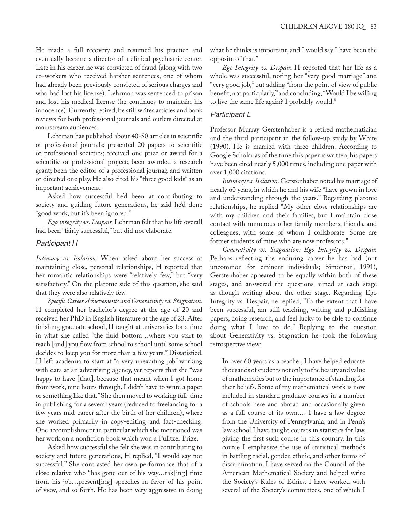He made a full recovery and resumed his practice and eventually became a director of a clinical psychiatric center. Late in his career, he was convicted of fraud (along with two co-workers who received harsher sentences, one of whom had already been previously convicted of serious charges and who had lost his license). Lehrman was sentenced to prison and lost his medical license (he continues to maintain his innocence). Currently retired, he still writes articles and book reviews for both professional journals and outlets directed at mainstream audiences.

Lehrman has published about 40-50 articles in scientific or professional journals; presented 20 papers to scientific or professional societies; received one prize or award for a scientific or professional project; been awarded a research grant; been the editor of a professional journal; and written or directed one play. He also cited his "three good kids" as an important achievement.

Asked how successful he'd been at contributing to society and guiding future generations, he said he'd done "good work, but it's been ignored."

*Ego integrity vs. Despair.* Lehrman felt that his life overall had been "fairly successful," but did not elaborate.

## *Participant H*

*Intimacy vs. Isolation.* When asked about her success at maintaining close, personal relationships, H reported that her romantic relationships were "relatively few," but "very satisfactory." On the platonic side of this question, she said that they were also relatively few.

*Specific Career Achievements and Generativity vs. Stagnation.* H completed her bachelor's degree at the age of 20 and received her PhD in English literature at the age of 23. After finishing graduate school, H taught at universities for a time in what she called "the fluid bottom…where you start to teach [and] you flow from school to school until some school decides to keep you for more than a few years." Dissatisfied, H left academia to start at "a very unexciting job" working with data at an advertising agency, yet reports that she "was happy to have [that], because that meant when I got home from work, nine hours through, I didn't have to write a paper or something like that." She then moved to working full-time in publishing for a several years (reduced to freelancing for a few years mid-career after the birth of her children), where she worked primarily in copy-editing and fact-checking. One accomplishment in particular which she mentioned was her work on a nonfiction book which won a Pulitzer Prize.

Asked how successful she felt she was in contributing to society and future generations, H replied, "I would say not successful." She contrasted her own performance that of a close relative who "has gone out of his way…tak[ing] time from his job…present[ing] speeches in favor of his point of view, and so forth. He has been very aggressive in doing what he thinks is important, and I would say I have been the opposite of that."

*Ego Integrity vs. Despair.* H reported that her life as a whole was successful, noting her "very good marriage" and "very good job," but adding "from the point of view of public benefit, not particularly," and concluding, "Would I be willing to live the same life again? I probably would."

## *Participant L*

Professor Murray Gerstenhaber is a retired mathematician and the third participant in the follow-up study by White (1990). He is married with three children. According to Google Scholar as of the time this paper is written, his papers have been cited nearly 5,000 times, including one paper with over 1,000 citations.

*Intimacy vs. Isolation.* Gerstenhaber noted his marriage of nearly 60 years, in which he and his wife "have grown in love and understanding through the years." Regarding platonic relationships, he replied "My other close relationships are with my children and their families, but I maintain close contact with numerous other family members, friends, and colleagues, with some of whom I collaborate. Some are former students of mine who are now professors."

*Generativity vs. Stagnation; Ego Integrity vs. Despair.* Perhaps reflecting the enduring career he has had (not uncommon for eminent individuals; Simonton, 1991), Gerstenhaber appeared to be equally within both of these stages, and answered the questions aimed at each stage as though writing about the other stage. Regarding Ego Integrity vs. Despair, he replied, "To the extent that I have been successful, am still teaching, writing and publishing papers, doing research, and feel lucky to be able to continue doing what I love to do." Replying to the question about Generativity vs. Stagnation he took the following retrospective view:

In over 60 years as a teacher, I have helped educate thousands of students not only to the beauty and value of mathematics but to the importance of standing for their beliefs. Some of my mathematical work is now included in standard graduate courses in a number of schools here and abroad and occasionally given as a full course of its own.… I have a law degree from the University of Pennsylvania, and in Penn's law school I have taught courses in statistics for law, giving the first such course in this country. In this course I emphasize the use of statistical methods in battling racial, gender, ethnic, and other forms of discrimination. I have served on the Council of the American Mathematical Society and helped write the Society's Rules of Ethics. I have worked with several of the Society's committees, one of which I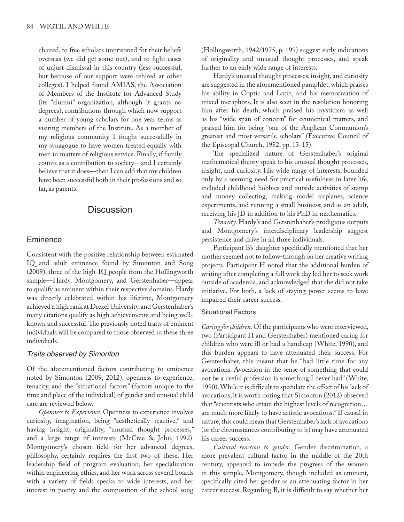chaired, to free scholars imprisoned for their beliefs overseas (we did get some out), and to fight cases of unjust dismissal in this country (less successful, but because of our support were rehired at other colleges). I helped found AMIAS, the Association of Members of the Institute for Advanced Study (its "alumni" organization, although it grants no degrees), contributions through which now support a number of young scholars for one year terms as visiting members of the Institute. As a member of my religious community I fought successfully in my synagogue to have women treated equally with men in matters of religious service. Finally, if family counts as a contribution to society—and I certainly believe that it does—then I can add that my children have been successful both in their professions and so far, as parents.

# **Discussion**

#### **Eminence**

Consistent with the positive relationship between estimated IQ and adult eminence found by Simonton and Song (2009), three of the high-IQ people from the Hollingworth sample—Hardy, Montgomery, and Gerstenhaber—appear to qualify as eminent within their respective domains. Hardy was directly celebrated within his lifetime, Montgomery achieved a high rank at Drexel University, and Gerstenhaber's many citations qualify as high achievements and being wellknown and successful. The previously noted traits of eminent individuals will be compared to those observed in these three individuals.

#### *Traits observed by Simonton*

Of the aforementioned factors contributing to eminence noted by Simonton (2009, 2012), openness to experience, tenacity, and the "situational factors" (factors unique to the time and place of the individual) of gender and unusual child care are reviewed below.

*Openness to Experience.* Openness to experience involves curiosity, imagination, being "aesthetically reactive," and having insight, originality, "unusual thought processes," and a large range of interests (McCrae & John, 1992). Montgomery's chosen field for her advanced degrees, philosophy, certainly requires the first two of these. Her leadership field of program evaluation, her specialization within engineering ethics, and her work across several boards with a variety of fields speaks to wide interests, and her interest in poetry and the composition of the school song (Hollingworth, 1942/1975, p. 199) suggest early indications of originality and unusual thought processes, and speak further to an early wide range of interests.

Hardy's unusual thought processes, insight, and curiosity are suggested in the aforementioned pamphlet, which praises his ability in Coptic and Latin, and his memorization of mixed metaphors. It is also seen in the resolution honoring him after his death, which praised his mysticism as well as his "wide span of concern" for ecumenical matters, and praised him for being "one of the Anglican Communion's greatest and most versatile scholars" (Executive Council of the Episcopal Church, 1982, pp. 13-15).

The specialized nature of Gerstenhaber's original mathematical theory speak to his unusual thought processes, insight, and curiosity. His wide range of interests, bounded only by a seeming need for practical usefulness in later life, included childhood hobbies and outside activities of stamp and money collecting, making model airplanes, science experiments, and running a small business; and as an adult, receiving his JD in addition to his PhD in mathematics.

*Tenacity.* Hardy's and Gerstenhaber's prodigious outputs and Montgomery's interdisciplinary leadership suggest persistence and drive in all three individuals.

Participant B's daughter specifically mentioned that her mother seemed not to follow-through on her creative writing projects. Participant H noted that the additional burden of writing after completing a full work day led her to seek work outside of academia, and acknowledged that she did not take initiative. For both, a lack of staying power seems to have impaired their career success.

#### Situational Factors

*Caring for children.* Of the participants who were interviewed, two (Participant H and Gerstenhaber) mentioned caring for children who were ill or had a handicap (White, 1990), and this burden appears to have attenuated their success. For Gerstenhaber, this meant that he "had little time for any avocations. Avocation in the sense of something that could not be a useful profession is something I never had" (White, 1990). While it is difficult to speculate the effect of his lack of avocations, it is worth noting that Simonton (2012) observed that "scientists who attain the highest levels of recognition… are much more likely to have artistic avocations." If causal in nature, this could mean that Gerstenhaber's lack of avocations (or the circumstances contributing to it) may have attenuated his career success.

*Cultural reaction to gender.* Gender discrimination, a more prevalent cultural factor in the middle of the 20th century, appeared to impede the progress of the women in this sample. Montgomery, though included as eminent, specifically cited her gender as an attenuating factor in her career success. Regarding B, it is difficult to say whether her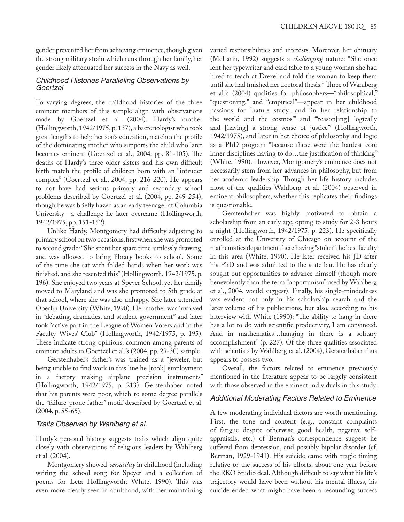gender prevented her from achieving eminence, though given the strong military strain which runs through her family, her gender likely attenuated her success in the Navy as well.

#### *Childhood Histories Paralleling Observations by Goertzel*

To varying degrees, the childhood histories of the three eminent members of this sample align with observations made by Goertzel et al. (2004). Hardy's mother (Hollingworth, 1942/1975, p. 137), a bacteriologist who took great lengths to help her son's education, matches the profile of the dominating mother who supports the child who later becomes eminent (Goertzel et al., 2004, pp. 81-105). The deaths of Hardy's three older sisters and his own difficult birth match the profile of children born with an "intruder complex" (Goertzel et al., 2004, pp. 216-220). He appears to not have had serious primary and secondary school problems described by Goertzel et al. (2004, pp. 249-254), though he was briefly hazed as an early teenager at Columbia University—a challenge he later overcame (Hollingworth, 1942/1975, pp. 151-152).

Unlike Hardy, Montgomery had difficulty adjusting to primary school on two occasions, first when she was promoted to second grade: "She spent her spare time aimlessly drawing, and was allowed to bring library books to school. Some of the time she sat with folded hands when her work was finished, and she resented this" (Hollingworth, 1942/1975, p. 196). She enjoyed two years at Speyer School, yet her family moved to Maryland and was she promoted to 5th grade at that school, where she was also unhappy. She later attended Oberlin University (White, 1990). Her mother was involved in "debating, dramatics, and student government" and later took "active part in the League of Women Voters and in the Faculty Wives' Club" (Hollingworth, 1942/1975, p. 195). These indicate strong opinions, common among parents of eminent adults in Goertzel et al.'s (2004, pp. 29-30) sample.

Gerstenhaber's father's was trained as a "jeweler, but being unable to find work in this line he [took] employment in a factory making airplane precision instruments" (Hollingworth, 1942/1975, p. 213). Gerstenhaber noted that his parents were poor, which to some degree parallels the "failure-prone father" motif described by Goertzel et al.  $(2004, p. 55-65).$ 

#### *Traits Observed by Wahlberg et al.*

Hardy's personal history suggests traits which align quite closely with observations of religious leaders by Wahlberg et al. (2004).

Montgomery showed *versatility* in childhood (including writing the school song for Speyer and a collection of poems for Leta Hollingworth; White, 1990). This was even more clearly seen in adulthood, with her maintaining

varied responsibilities and interests. Moreover, her obituary (McLarin, 1992) suggests a *challenging* nature: "She once lent her typewriter and card table to a young woman she had hired to teach at Drexel and told the woman to keep them until she had finished her doctoral thesis." Three of Wahlberg et al.'s (2004) qualities for philosophers—"philosophical," "questioning," and "empirical"—appear in her childhood passions for "nature study…and 'in her relationship to the world and the cosmos'" and "'reason[ing] logically and [having] a strong sense of justice'" (Hollingworth, 1942/1975), and later in her choice of philosophy and logic as a PhD program "because these were the hardest core inner disciplines having to do…the justification of thinking" (White, 1990). However, Montgomery's eminence does not necessarily stem from her advances in philosophy, but from her academic leadership. Though her life history includes most of the qualities Wahlberg et al. (2004) observed in eminent philosophers, whether this replicates their findings is questionable.

Gerstenhaber was highly motivated to obtain a scholarship from an early age, opting to study for 2-3 hours a night (Hollingworth, 1942/1975, p. 223). He specifically enrolled at the University of Chicago on account of the mathematics department there having "stolen" the best faculty in this area (White, 1990). He later received his JD after his PhD and was admitted to the state bar. He has clearly sought out opportunities to advance himself (though more benevolently than the term "opportunism" used by Wahlberg et al., 2004, would suggest). Finally, his single-mindedness was evident not only in his scholarship search and the later volume of his publications, but also, according to his interview with White (1990): "The ability to hang in there has a lot to do with scientific productivity, I am convinced. And in mathematics…hanging in there is a solitary accomplishment" (p. 227). Of the three qualities associated with scientists by Wahlberg et al. (2004), Gerstenhaber thus appears to possess two.

Overall, the factors related to eminence previously mentioned in the literature appear to be largely consistent with those observed in the eminent individuals in this study.

#### *Additional Moderating Factors Related to Eminence*

A few moderating individual factors are worth mentioning. First, the tone and content (e.g., constant complaints of fatigue despite otherwise good health, negative selfappraisals, etc.) of Berman's correspondence suggest he suffered from depression, and possibly bipolar disorder (cf. Berman, 1929-1941). His suicide came with tragic timing relative to the success of his efforts, about one year before the RKO Studio deal. Although difficult to say what his life's trajectory would have been without his mental illness, his suicide ended what might have been a resounding success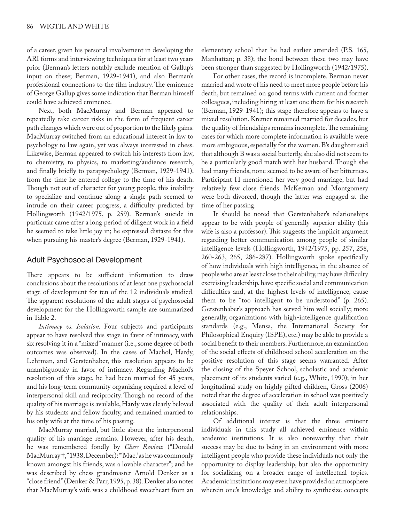of a career, given his personal involvement in developing the ARI forms and interviewing techniques for at least two years prior (Berman's letters notably exclude mention of Gallup's input on these; Berman, 1929-1941), and also Berman's professional connections to the film industry. The eminence of George Gallup gives some indication that Berman himself could have achieved eminence.

Next, both MacMurray and Berman appeared to repeatedly take career risks in the form of frequent career path changes which were out of proportion to the likely gains. MacMurray switched from an educational interest in law to psychology to law again, yet was always interested in chess. Likewise, Berman appeared to switch his interests from law, to chemistry, to physics, to marketing/audience research, and finally briefly to parapsychology (Berman, 1929-1941), from the time he entered college to the time of his death. Though not out of character for young people, this inability to specialize and continue along a single path seemed to intrude on their career progress, a difficulty predicted by Hollingworth (1942/1975, p. 259). Berman's suicide in particular came after a long period of diligent work in a field he seemed to take little joy in; he expressed distaste for this when pursuing his master's degree (Berman, 1929-1941).

## Adult Psychosocial Development

There appears to be sufficient information to draw conclusions about the resolutions of at least one psychosocial stage of development for ten of the 12 individuals studied. The apparent resolutions of the adult stages of psychosocial development for the Hollingworth sample are summarized in Table 2.

*Intimacy vs. Isolation.* Four subjects and participants appear to have resolved this stage in favor of intimacy, with six resolving it in a "mixed" manner (i.e., some degree of both outcomes was observed). In the cases of Machol, Hardy, Lehrman, and Gerstenhaber, this resolution appears to be unambiguously in favor of intimacy. Regarding Machol's resolution of this stage, he had been married for 45 years, and his long-term community organizing required a level of interpersonal skill and reciprocity. Though no record of the quality of his marriage is available, Hardy was clearly beloved by his students and fellow faculty, and remained married to his only wife at the time of his passing.

MacMurray married, but little about the interpersonal quality of his marriage remains. However, after his death, he was remembered fondly by *Chess Review* ("Donald MacMurray †," 1938, December): "'Mac,' as he was commonly known amongst his friends, was a lovable character"; and he was described by chess grandmaster Arnold Denker as a "close friend" (Denker & Parr, 1995, p. 38). Denker also notes that MacMurray's wife was a childhood sweetheart from an elementary school that he had earlier attended (P.S. 165, Manhattan; p. 38); the bond between these two may have been stronger than suggested by Hollingworth (1942/1975).

For other cases, the record is incomplete. Berman never married and wrote of his need to meet more people before his death, but remained on good terms with current and former colleagues, including hiring at least one them for his research (Berman, 1929-1941); this stage therefore appears to have a mixed resolution. Kremer remained married for decades, but the quality of friendships remains incomplete. The remaining cases for which more complete information is available were more ambiguous, especially for the women. B's daughter said that although B was a social butterfly, she also did not seem to be a particularly good match with her husband. Though she had many friends, none seemed to be aware of her bitterness. Participant H mentioned her very good marriage, but had relatively few close friends. McKernan and Montgomery were both divorced, though the latter was engaged at the time of her passing.

It should be noted that Gerstenhaber's relationships appear to be with people of generally superior ability (his wife is also a professor). This suggests the implicit argument regarding better communication among people of similar intelligence levels (Hollingworth, 1942/1975, pp. 257, 258, 260-263, 265, 286-287). Hollingworth spoke specifically of how individuals with high intelligence, in the absence of people who are at least close to their ability, may have difficulty exercising leadership, have specific social and communication difficulties and, at the highest levels of intelligence, cause them to be "too intelligent to be understood" (p. 265). Gerstenhaber's approach has served him well socially; more generally, organizations with high-intelligence qualification standards (e.g., Mensa, the International Society for Philosophical Enquiry (ISPE), etc.) may be able to provide a social benefit to their members. Furthermore, an examination of the social effects of childhood school acceleration on the positive resolution of this stage seems warranted. After the closing of the Speyer School, scholastic and academic placement of its students varied (e.g., White, 1990); in her longitudinal study on highly gifted children, Gross (2006) noted that the degree of acceleration in school was positively associated with the quality of their adult interpersonal relationships.

Of additional interest is that the three eminent individuals in this study all achieved eminence within academic institutions. It is also noteworthy that their success may be due to being in an environment with more intelligent people who provide these individuals not only the opportunity to display leadership, but also the opportunity for socializing on a broader range of intellectual topics. Academic institutions may even have provided an atmosphere wherein one's knowledge and ability to synthesize concepts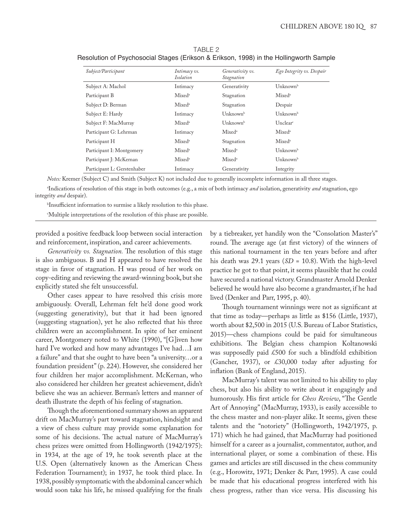| Subject/Participant         | Intimacy vs.<br><b>Isolation</b> | Generativity vs.<br><i>Stagnation</i> | Ego Integrity vs. Despair       |
|-----------------------------|----------------------------------|---------------------------------------|---------------------------------|
| Subject A: Machol           | Intimacy                         | Generativity                          | $\rm Unknown^b$                 |
| Participant B               | Mixed <sup>a</sup>               | Stagnation                            | Mixed <sup>a</sup>              |
| Subject D: Berman           | Mixed <sup>a</sup>               | Stagnation                            | Despair                         |
| Subject E: Hardy            | Intimacy                         | $\text{U}$ nknown $^{\text{b}}$       | $\text{U}$ nknown $^{\text{b}}$ |
| Subject F: MacMurray        | Mixed <sup>a</sup>               | $\rm Unknown^b$                       | Unclear                         |
| Participant G: Lehrman      | Intimacy                         | Mixed <sup>a</sup>                    | Mixed <sup>a</sup>              |
| Participant H               | Mixed <sup>a</sup>               | Stagnation                            | Mixed <sup>a</sup>              |
| Participant I: Montgomery   | Mixed <sup>a</sup>               | Mixed <sup>a</sup>                    | Unknownb                        |
| Participant J: McKernan     | Mixed <sup>a</sup>               | Mixed <sup>a</sup>                    | $\text{Unknown}^{\text{b}}$     |
| Participant L: Gerstenhaber | Intimacy                         | Generativity                          | Integrity                       |

TABLE 2 Resolution of Psychosocial Stages (Erikson & Erikson, 1998) in the Hollingworth Sample

*Notes:* Kremer (Subject C) and Smith (Subject K) not included due to generally incomplete information in all three stages.

a Indications of resolution of this stage in both outcomes (e.g., a mix of both intimacy *and* isolation, generativity *and* stagnation, ego integrity *and* despair).

b Insufficient information to surmise a likely resolution to this phase.

c Multiple interpretations of the resolution of this phase are possible.

provided a positive feedback loop between social interaction and reinforcement, inspiration, and career achievements.

*Generativity vs. Stagnation.* The resolution of this stage is also ambiguous. B and H appeared to have resolved the stage in favor of stagnation. H was proud of her work on copy-editing and reviewing the award-winning book, but she explicitly stated she felt unsuccessful.

Other cases appear to have resolved this crisis more ambiguously. Overall, Lehrman felt he'd done good work (suggesting generativity), but that it had been ignored (suggesting stagnation), yet he also reflected that his three children were an accomplishment. In spite of her eminent career, Montgomery noted to White (1990), "[G]iven how hard I've worked and how many advantages I've had…I am a failure" and that she ought to have been "a university…or a foundation president" (p. 224). However, she considered her four children her major accomplishment. McKernan, who also considered her children her greatest achievement, didn't believe she was an achiever. Berman's letters and manner of death illustrate the depth of his feeling of stagnation.

Though the aforementioned summary shows an apparent drift on MacMurray's part toward stagnation, hindsight and a view of chess culture may provide some explanation for some of his decisions. The actual nature of MacMurray's chess prizes were omitted from Hollingworth (1942/1975): in 1934, at the age of 19, he took seventh place at the U.S. Open (alternatively known as the American Chess Federation Tournament); in 1937, he took third place. In 1938, possibly symptomatic with the abdominal cancer which would soon take his life, he missed qualifying for the finals by a tiebreaker, yet handily won the "Consolation Master's" round. The average age (at first victory) of the winners of this national tournament in the ten years before and after his death was 29.1 years (*SD* = 10.8). With the high-level practice he got to that point, it seems plausible that he could have secured a national victory. Grandmaster Arnold Denker believed he would have also become a grandmaster, if he had lived (Denker and Parr, 1995, p. 40).

Though tournament winnings were not as significant at that time as today—perhaps as little as \$156 (Little, 1937), worth about \$2,500 in 2015 (U.S. Bureau of Labor Statistics, 2015)—chess champions could be paid for simultaneous exhibitions. The Belgian chess champion Koltanowski was supposedly paid £500 for such a blindfold exhibition (Gancher, 1937), or £30,000 today after adjusting for inflation (Bank of England, 2015).

MacMurray's talent was not limited to his ability to play chess, but also his ability to write about it engagingly and humorously. His first article for *Chess Review*, "The Gentle Art of Annoying" (MacMurray, 1933), is easily accessible to the chess master and non-player alike. It seems, given these talents and the "notoriety" (Hollingworth, 1942/1975, p. 171) which he had gained, that MacMurray had positioned himself for a career as a journalist, commentator, author, and international player, or some a combination of these. His games and articles are still discussed in the chess community (e.g., Horowitz, 1971; Denker & Parr, 1995). A case could be made that his educational progress interfered with his chess progress, rather than vice versa. His discussing his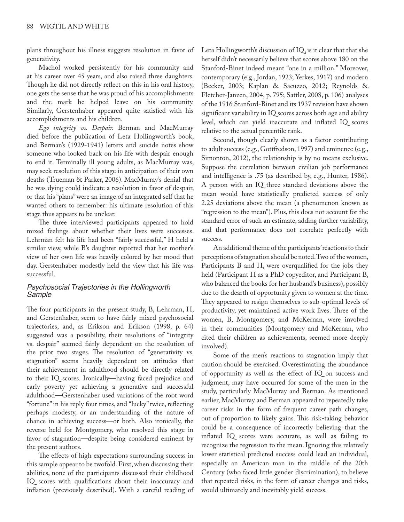plans throughout his illness suggests resolution in favor of generativity.

Machol worked persistently for his community and at his career over 45 years, and also raised three daughters. Though he did not directly reflect on this in his oral history, one gets the sense that he was proud of his accomplishments and the mark he helped leave on his community. Similarly, Gerstenhaber appeared quite satisfied with his accomplishments and his children.

*Ego integrity vs. Despair.* Berman and MacMurray died before the publication of Leta Hollingworth's book, and Berman's (1929-1941) letters and suicide notes show someone who looked back on his life with despair enough to end it. Terminally ill young adults, as MacMurray was, may seek resolution of this stage in anticipation of their own deaths (Trueman & Parker, 2006). MacMurray's denial that he was dying could indicate a resolution in favor of despair, or that his "plans" were an image of an integrated self that he wanted others to remember: his ultimate resolution of this stage thus appears to be unclear.

The three interviewed participants appeared to hold mixed feelings about whether their lives were successes. Lehrman felt his life had been "fairly successful," H held a similar view, while B's daughter reported that her mother's view of her own life was heavily colored by her mood that day. Gerstenhaber modestly held the view that his life was successful.

### *Psychosocial Trajectories in the Hollingworth Sample*

The four participants in the present study, B, Lehrman, H, and Gerstenhaber, seem to have fairly mixed psychosocial trajectories, and, as Erikson and Erikson (1998, p. 64) suggested was a possibility, their resolutions of "integrity vs. despair" seemed fairly dependent on the resolution of the prior two stages. The resolution of "generativity vs. stagnation" seems heavily dependent on attitudes that their achievement in adulthood should be directly related to their IQ scores. Ironically—having faced prejudice and early poverty yet achieving a generative and successful adulthood—Gerstenhaber used variations of the root word "fortune" in his reply four times, and "lucky" twice, reflecting perhaps modesty, or an understanding of the nature of chance in achieving success—or both. Also ironically, the reverse held for Montgomery, who resolved this stage in favor of stagnation—despite being considered eminent by the present authors.

The effects of high expectations surrounding success in this sample appear to be twofold. First, when discussing their abilities, none of the participants discussed their childhood IQ scores with qualifications about their inaccuracy and inflation (previously described). With a careful reading of Leta Hollingworth's discussion of IQ, is it clear that that she herself didn't necessarily believe that scores above 180 on the Stanford-Binet indeed meant "one in a million." Moreover, contemporary (e.g., Jordan, 1923; Yerkes, 1917) and modern (Becker, 2003; Kaplan & Sacuzzo, 2012; Reynolds & Fletcher-Janzen, 2004, p. 795; Sattler, 2008, p. 106) analyses of the 1916 Stanford-Binet and its 1937 revision have shown significant variability in IQ scores across both age and ability level, which can yield inaccurate and inflated IQ scores relative to the actual percentile rank.

Second, though clearly shown as a factor contributing to adult success (e.g., Gottfredson, 1997) and eminence (e.g., Simonton, 2012), the relationship is by no means exclusive. Suppose the correlation between civilian job performance and intelligence is .75 (as described by, e.g., Hunter, 1986). A person with an IQ three standard deviations above the mean would have statistically predicted success of only 2.25 deviations above the mean (a phenomenon known as "regression to the mean"). Plus, this does not account for the standard error of such an estimate, adding further variability, and that performance does not correlate perfectly with success.

An additional theme of the participants' reactions to their perceptions of stagnation should be noted. Two of the women, Participants B and H, were overqualified for the jobs they held (Participant H as a PhD copyeditor, and Participant B, who balanced the books for her husband's business), possibly due to the dearth of opportunity given to women at the time. They appeared to resign themselves to sub-optimal levels of productivity, yet maintained active work lives. Three of the women, B, Montgomery, and McKernan, were involved in their communities (Montgomery and McKernan, who cited their children as achievements, seemed more deeply involved).

Some of the men's reactions to stagnation imply that caution should be exercised. Overestimating the abundance of opportunity as well as the effect of IQ on success and judgment, may have occurred for some of the men in the study, particularly MacMurray and Berman. As mentioned earlier, MacMurray and Berman appeared to repeatedly take career risks in the form of frequent career path changes, out of proportion to likely gains. This risk-taking behavior could be a consequence of incorrectly believing that the inflated IQ scores were accurate, as well as failing to recognize the regression to the mean. Ignoring this relatively lower statistical predicted success could lead an individual, especially an American man in the middle of the 20th Century (who faced little gender discrimination), to believe that repeated risks, in the form of career changes and risks, would ultimately and inevitably yield success.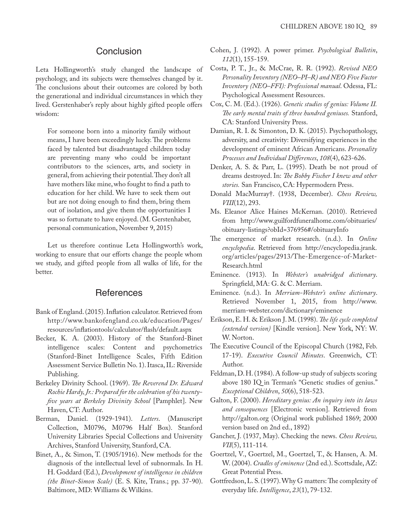# **Conclusion**

Leta Hollingworth's study changed the landscape of psychology, and its subjects were themselves changed by it. The conclusions about their outcomes are colored by both the generational and individual circumstances in which they lived. Gerstenhaber's reply about highly gifted people offers wisdom:

For someone born into a minority family without means, I have been exceedingly lucky. The problems faced by talented but disadvantaged children today are preventing many who could be important contributors to the sciences, arts, and society in general, from achieving their potential. They don't all have mothers like mine, who fought to find a path to education for her child. We have to seek them out but are not doing enough to find them, bring them out of isolation, and give them the opportunities I was so fortunate to have enjoyed. (M. Gerstenhaber, personal communication, November 9, 2015)

Let us therefore continue Leta Hollingworth's work, working to ensure that our efforts change the people whom we study, and gifted people from all walks of life, for the better.

# **References**

- Bank of England. (2015). Inflation calculator. Retrieved from http://www.bankofengland.co.uk/education/Pages/ resources/inflationtools/calculator/flash/default.aspx
- Becker, K. A. (2003). History of the Stanford-Binet intelligence scales: Content and psychometrics (Stanford-Binet Intelligence Scales, Fifth Edition Assessment Service Bulletin No. 1). Itasca, IL: Riverside Publishing.
- Berkeley Divinity School. (1969). *The Reverend Dr. Edward Rochie Hardy, Jr.: Prepared for the celebration of his twentyfive years at Berkeley Divinity School* [Pamphlet]. New Haven, CT: Author.
- Berman, Daniel. (1929-1941). *Letters*. (Manuscript Collection, M0796, M0796 Half Box). Stanford University Libraries Special Collections and University Archives, Stanford University, Stanford, CA.
- Binet, A., & Simon, T. (1905/1916). New methods for the diagnosis of the intellectual level of subnormals. In H. H. Goddard (Ed.), *Development of intelligence in children (the Binet-Simon Scale)* (E. S. Kite, Trans.; pp. 37-90). Baltimore, MD: Williams & Wilkins.
- Cohen, J. (1992). A power primer. *Psychological Bulletin*, *112*(1), 155-159.
- Costa, P. T., Jr., & McCrae, R. R. (1992). *Revised NEO Personality Inventory (NEO–PI–R) and NEO Five Factor Inventory (NEO–FFI): Professional manual*. Odessa, FL: Psychological Assessment Resources.
- Cox, C. M. (Ed.). (1926). *Genetic studies of genius: Volume II. The early mental traits of three hundred geniuses.* Stanford, CA: Stanford University Press.
- Damian, R. I. & Simonton, D. K. (2015). Psychopathology, adversity, and creativity: Diversifying experiences in the development of eminent African Americans. *Personality Processes and Individual Differences*, *108*(4), 623-626.
- Denker, A. S. & Parr, L. (1995). Death be not proud of dreams destroyed. In: *The Bobby Fischer I knew and other stories.* San Francisco, CA: Hypermodern Press.
- Donald MacMurray†. (1938, December). *Chess Review, VIII*(12), 293.
- Ms. Eleanor Alice Haines McKernan. (2010). Retrieved from http://www.guilfordfuneralhome.com/obituaries/ obituary-listings?obId=376956#/obituaryInfo
- The emergence of market research. (n.d.). In *Online encyclopedia*. Retrieved from http://encyclopedia.jrank. org/articles/pages/2913/The-Emergence-of-Market-Research.html
- Eminence. (1913). In *Webster's unabridged dictionary*. Springfield, MA: G. & C. Merriam.
- Eminence. (n.d.). In *Merriam-Webster's online dictionary*. Retrieved November 1, 2015, from http://www. merriam-webster.com/dictionary/eminence
- Erikson, E. H. & Erikson J. M. (1998). *The life cycle completed (extended version)* [Kindle version]. New York, NY: W. W. Norton.
- The Executive Council of the Episcopal Church (1982, Feb. 17-19). *Executive Council Minutes*. Greenwich, CT: Author.
- Feldman, D. H. (1984). A follow-up study of subjects scoring above 180 IQ in Terman's "Genetic studies of genius." *Exceptional Children*, *50*(6), 518-523.
- Galton, F. (2000). *Hereditary genius: An inquiry into its laws and consequences* [Electronic version]. Retrieved from http://galton.org (Original work published 1869; 2000 version based on 2nd ed., 1892)
- Gancher, J. (1937, May). Checking the news. *Chess Review, VII*(5), 111-114.
- Goertzel, V., Goertzel, M., Goertzel, T., & Hansen, A. M. W. (2004). *Cradles of eminence* (2nd ed.). Scottsdale, AZ: Great Potential Press.
- Gottfredson, L. S. (1997). Why G matters: The complexity of everyday life. *Intelligence*, *23*(1), 79-132.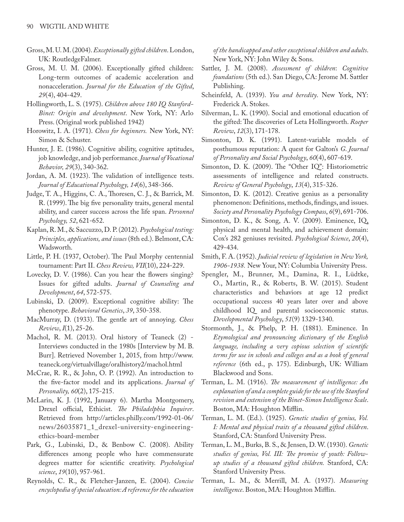- Gross, M. U. M. (2004). *Exceptionally gifted children*. London, UK: RoutledgeFalmer.
- Gross, M. U. M. (2006). Exceptionally gifted children: Long-term outcomes of academic acceleration and nonacceleration. *Journal for the Education of the Gifted*, *29*(4), 404-429.
- Hollingworth, L. S. (1975). *Children above 180 IQ Stanford-Binet: Origin and development*. New York, NY: Arlo Press. (Original work published 1942)
- Horowitz, I. A. (1971). *Chess for beginners.* New York, NY: Simon & Schuster.
- Hunter, J. E. (1986). Cognitive ability, cognitive aptitudes, job knowledge, and job performance. *Journal of Vocational Behavior, 29*(3), 340-362.
- Jordan, A. M. (1923). The validation of intelligence tests. *Journal of Educational Psychology, 14*(6), 348-366.
- Judge, T. A., Higgins, C. A., Thoresen, C. J., & Barrick, M. R. (1999). The big five personality traits, general mental ability, and career success across the life span. *Personnel Psychology, 52*, 621-652.
- Kaplan, R. M., & Saccuzzo, D. P. (2012). *Psychological testing: Principles, applications, and issues* (8th ed.). Belmont, CA: Wadsworth.
- Little, P. H. (1937, October). The Paul Morphy centennial tournament: Part II. *Chess Review, VII*(10), 224-229.
- Lovecky, D. V. (1986). Can you hear the flowers singing? Issues for gifted adults. *Journal of Counseling and Development*, *64*, 572-575.
- Lubinski, D. (2009). Exceptional cognitive ability: The phenotype. *Behavioral Genetics*, *39*, 350-358.
- MacMurray, D. (1933). The gentle art of annoying. *Chess Review*, *I*(1), 25-26.
- Machol, R. M. (2013). Oral history of Teaneck (2) Interviews conducted in the 1980s [Interview by M. B. Burr]. Retrieved November 1, 2015, from http://www. teaneck.org/virtualvillage/oralhistory2/machol.html
- McCrae, R. R., & John, O. P. (1992). An introduction to the five-factor model and its applications. *Journal of Personality, 60*(2), 175-215.
- McLarin, K. J. (1992, January 6). Martha Montgomery, Drexel official, Ethicist. *The Philadelphia Inquirer*. Retrieved from http://articles.philly.com/1992-01-06/ news/26035871\_1\_drexel-university-engineeringethics-board-member
- Park, G., Lubinski, D., & Benbow C. (2008). Ability differences among people who have commensurate degrees matter for scientific creativity. *Psychological science*, *19*(10), 957-961.
- Reynolds, C. R., & Fletcher-Janzen, E. (2004). *Concise encyclopedia of special education: A reference for the education*

*of the handicapped and other exceptional children and adults*. New York, NY: John Wiley & Sons.

- Sattler, J. M. (2008). *Assessment of children*: *Cognitive foundations* (5th ed.). San Diego, CA: Jerome M. Sattler Publishing.
- Scheinfeld, A. (1939). *You and heredity*. New York, NY: Frederick A. Stokes.
- Silverman, L. K. (1990). Social and emotional education of the gifted: The discoveries of Leta Hollingworth. *Roeper Review*, *12*(3), 171-178.
- Simonton, D. K. (1991). Latent-variable models of posthumous reputation: A quest for Galton's *G*. *Journal of Personality and Social Psychology*, *60*(4), 607-619.
- Simonton, D. K. (2009). The "Other IQ": Historiometric assessments of intelligence and related constructs. *Review of General Psychology*, *13*(4), 315-326.
- Simonton, D. K. (2012). Creative genius as a personality phenomenon: Definitions, methods, findings, and issues. *Society and Personality Psychology Compass*, *6*(9), 691-706.
- Simonton, D. K., & Song, A. V. (2009). Eminence, IQ, physical and mental health, and achievement domain: Cox's 282 geniuses revisited. *Psychological Science*, *20*(4), 429-434.
- Smith, F. A. (1952). *Judicial review of legislation in New York, 1906-1938.* New Your, NY: Columbia University Press.
- Spengler, M., Brunner, M., Damina, R. I., Lüdtke, O., Martin, R., & Roberts, B. W. (2015). Student characteristics and behaviors at age 12 predict occupational success 40 years later over and above childhood IQ and parental socioeconomic status. *Developmental Psychology*, *51*(9) 1329-1340.
- Stormonth, J., & Phelp, P. H. (1881). Eminence. In *Etymological and pronouncing dictionary of the English language, including a very copious selection of scientific terms for use in schools and colleges and as a book of general reference* (6th ed., p. 175). Edinburgh, UK: William Blackwood and Sons.
- Terman, L. M. (1916). *The measurement of intelligence: An explanation of and a complete guide for the use of the Stanford revision and extension of the Binet-Simon Intelligence Scale*. Boston, MA: Houghton Mifflin.
- Terman, L. M. (Ed.). (1925). *Genetic studies of genius, Vol. I: Mental and physical traits of a thousand gifted children*. Stanford, CA: Stanford University Press.
- Terman, L. M., Burks, B. S., & Jensen, D. W. (1930). *Genetic studies of genius, Vol. III: The promise of youth: Followup studies of a thousand gifted children.* Stanford, CA: Stanford University Press.
- Terman, L. M., & Merrill, M. A. (1937). *Measuring intelligence*. Boston, MA: Houghton Mifflin.